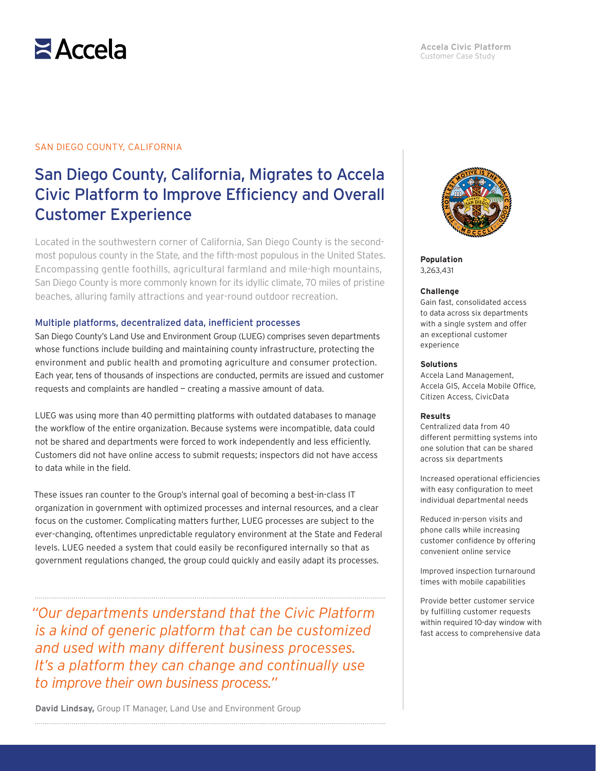

## SAN DIEGO COUNTY, CALIFORNIA

# San Diego County, California, Migrates to Accela Civic Platform to Improve Efficiency and Overall Customer Experience

Located in the southwestern corner of California, San Diego County is the secondmost populous county in the State, and the fifth-most populous in the United States. Encompassing gentle foothills, agricultural farmland and mile-high mountains, San Diego County is more commonly known for its idyllic climate, 70 miles of pristine beaches, alluring family attractions and year-round outdoor recreation.

### Multiple platforms, decentralized data, inefficient processes

San Diego County's Land Use and Environment Group (LUEG) comprises seven departments whose functions include building and maintaining county infrastructure, protecting the environment and public health and promoting agriculture and consumer protection. Each year, tens of thousands of inspections are conducted, permits are issued and customer requests and complaints are handled — creating a massive amount of data.

LUEG was using more than 40 permitting platforms with outdated databases to manage the workflow of the entire organization. Because systems were incompatible, data could not be shared and departments were forced to work independently and less efficiently. Customers did not have online access to submit requests; inspectors did not have access to data while in the field.

These issues ran counter to the Group's internal goal of becoming a best-in-class IT organization in government with optimized processes and internal resources, and a clear focus on the customer. Complicating matters further, LUEG processes are subject to the ever-changing, oftentimes unpredictable regulatory environment at the State and Federal levels. LUEG needed a system that could easily be reconfigured internally so that as government regulations changed, the group could quickly and easily adapt its processes.

*"Our departments understand that the Civic Platform is a kind of generic platform that can be customized and used with many different business processes. It's a platform they can change and continually use to improve their own business process."*

**David Lindsay,** Group IT Manager, Land Use and Environment Group



**Population** 3,263,431

### **Challenge**

Gain fast, consolidated access to data across six departments with a single system and offer an exceptional customer experience

### **Solutions**

Accela Land Management, Accela GIS, Accela Mobile Office, Citizen Access, CivicData

### **Results**

Centralized data from 40 different permitting systems into one solution that can be shared across six departments

Increased operational efficiencies with easy configuration to meet individual departmental needs

Reduced in-person visits and phone calls while increasing customer confidence by offering convenient online service

Improved inspection turnaround times with mobile capabilities

Provide better customer service by fulfilling customer requests within required 10-day window with fast access to comprehensive data